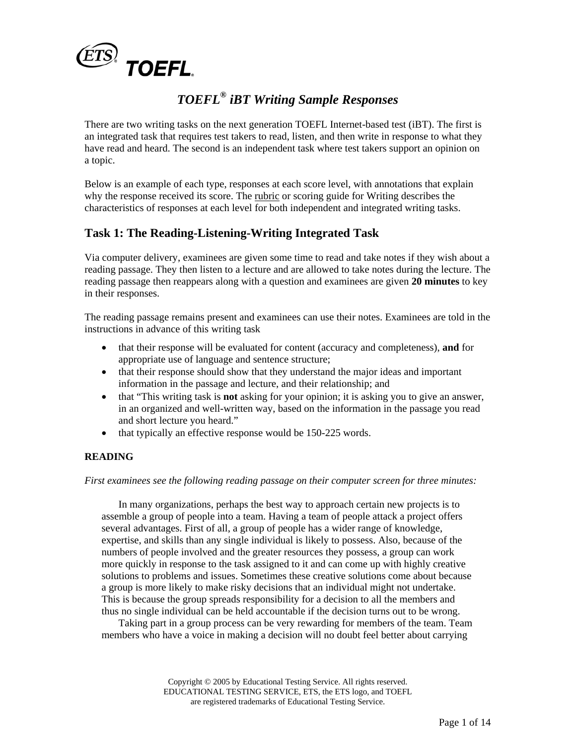

# *TOEFL® iBT Writing Sample Responses*

There are two writing tasks on the next generation TOEFL Internet-based test (iBT). The first is an integrated task that requires test takers to read, listen, and then write in response to what they have read and heard. The second is an independent task where test takers support an opinion on a topic.

Below is an example of each type, responses at each score level, with annotations that explain why the response received its score. The rubric or scoring guide for Writing describes the characteristics of responses at each level for both independent and integrated writing tasks.

# **Task 1: The Reading-Listening-Writing Integrated Task**

Via computer delivery, examinees are given some time to read and take notes if they wish about a reading passage. They then listen to a lecture and are allowed to take notes during the lecture. The reading passage then reappears along with a question and examinees are given **20 minutes** to key in their responses.

The reading passage remains present and examinees can use their notes. Examinees are told in the instructions in advance of this writing task

- that their response will be evaluated for content (accuracy and completeness), **and** for appropriate use of language and sentence structure;
- that their response should show that they understand the major ideas and important information in the passage and lecture, and their relationship; and
- that "This writing task is **not** asking for your opinion; it is asking you to give an answer, in an organized and well-written way, based on the information in the passage you read and short lecture you heard."
- that typically an effective response would be 150-225 words.

# **READING**

#### *First examinees see the following reading passage on their computer screen for three minutes:*

In many organizations, perhaps the best way to approach certain new projects is to assemble a group of people into a team. Having a team of people attack a project offers several advantages. First of all, a group of people has a wider range of knowledge, expertise, and skills than any single individual is likely to possess. Also, because of the numbers of people involved and the greater resources they possess, a group can work more quickly in response to the task assigned to it and can come up with highly creative solutions to problems and issues. Sometimes these creative solutions come about because a group is more likely to make risky decisions that an individual might not undertake. This is because the group spreads responsibility for a decision to all the members and thus no single individual can be held accountable if the decision turns out to be wrong.

Taking part in a group process can be very rewarding for members of the team. Team members who have a voice in making a decision will no doubt feel better about carrying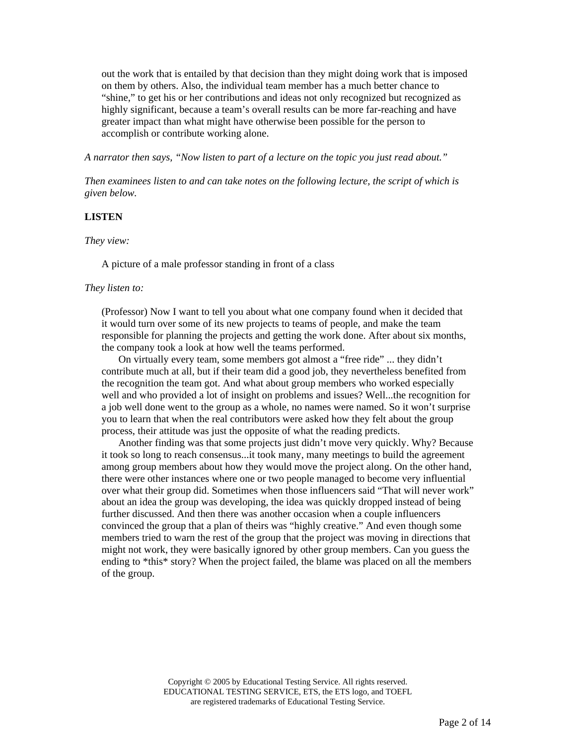out the work that is entailed by that decision than they might doing work that is imposed on them by others. Also, the individual team member has a much better chance to "shine," to get his or her contributions and ideas not only recognized but recognized as highly significant, because a team's overall results can be more far-reaching and have greater impact than what might have otherwise been possible for the person to accomplish or contribute working alone.

*A narrator then says, "Now listen to part of a lecture on the topic you just read about."* 

*Then examinees listen to and can take notes on the following lecture, the script of which is given below.* 

# **LISTEN**

#### *They view:*

A picture of a male professor standing in front of a class

#### *They listen to:*

(Professor) Now I want to tell you about what one company found when it decided that it would turn over some of its new projects to teams of people, and make the team responsible for planning the projects and getting the work done. After about six months, the company took a look at how well the teams performed.

On virtually every team, some members got almost a "free ride" ... they didn't contribute much at all, but if their team did a good job, they nevertheless benefited from the recognition the team got. And what about group members who worked especially well and who provided a lot of insight on problems and issues? Well...the recognition for a job well done went to the group as a whole, no names were named. So it won't surprise you to learn that when the real contributors were asked how they felt about the group process, their attitude was just the opposite of what the reading predicts.

Another finding was that some projects just didn't move very quickly. Why? Because it took so long to reach consensus...it took many, many meetings to build the agreement among group members about how they would move the project along. On the other hand, there were other instances where one or two people managed to become very influential over what their group did. Sometimes when those influencers said "That will never work" about an idea the group was developing, the idea was quickly dropped instead of being further discussed. And then there was another occasion when a couple influencers convinced the group that a plan of theirs was "highly creative." And even though some members tried to warn the rest of the group that the project was moving in directions that might not work, they were basically ignored by other group members. Can you guess the ending to \*this\* story? When the project failed, the blame was placed on all the members of the group.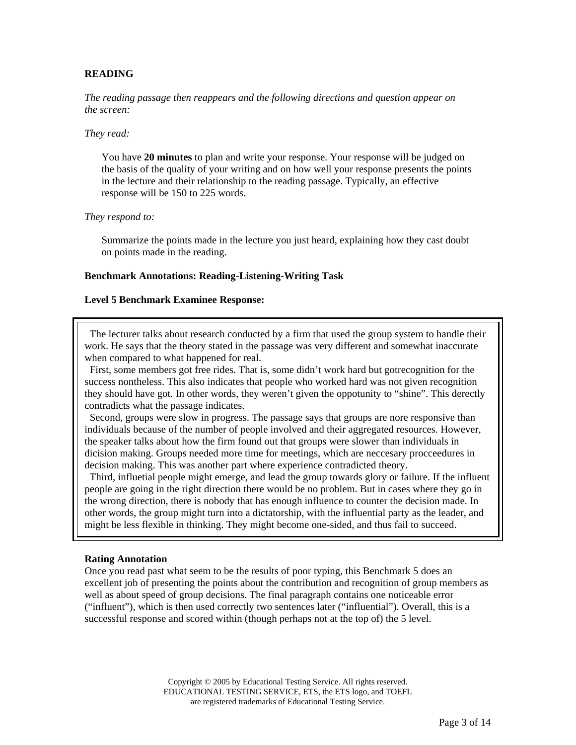# **READING**

*The reading passage then reappears and the following directions and question appear on the screen:* 

#### *They read:*

You have **20 minutes** to plan and write your response. Your response will be judged on the basis of the quality of your writing and on how well your response presents the points in the lecture and their relationship to the reading passage. Typically, an effective response will be 150 to 225 words.

#### *They respond to:*

Summarize the points made in the lecture you just heard, explaining how they cast doubt on points made in the reading.

#### **Benchmark Annotations: Reading-Listening-Writing Task**

#### **Level 5 Benchmark Examinee Response:**

 The lecturer talks about research conducted by a firm that used the group system to handle their work. He says that the theory stated in the passage was very different and somewhat inaccurate when compared to what happened for real.

 First, some members got free rides. That is, some didn't work hard but gotrecognition for the success nontheless. This also indicates that people who worked hard was not given recognition they should have got. In other words, they weren't given the oppotunity to "shine". This derectly contradicts what the passage indicates.

 Second, groups were slow in progress. The passage says that groups are nore responsive than individuals because of the number of people involved and their aggregated resources. However, the speaker talks about how the firm found out that groups were slower than individuals in dicision making. Groups needed more time for meetings, which are neccesary procceedures in decision making. This was another part where experience contradicted theory.

 Third, influetial people might emerge, and lead the group towards glory or failure. If the influent people are going in the right direction there would be no problem. But in cases where they go in the wrong direction, there is nobody that has enough influence to counter the decision made. In other words, the group might turn into a dictatorship, with the influential party as the leader, and might be less flexible in thinking. They might become one-sided, and thus fail to succeed.

#### **Rating Annotation**

Once you read past what seem to be the results of poor typing, this Benchmark 5 does an excellent job of presenting the points about the contribution and recognition of group members as well as about speed of group decisions. The final paragraph contains one noticeable error ("influent"), which is then used correctly two sentences later ("influential"). Overall, this is a successful response and scored within (though perhaps not at the top of) the 5 level.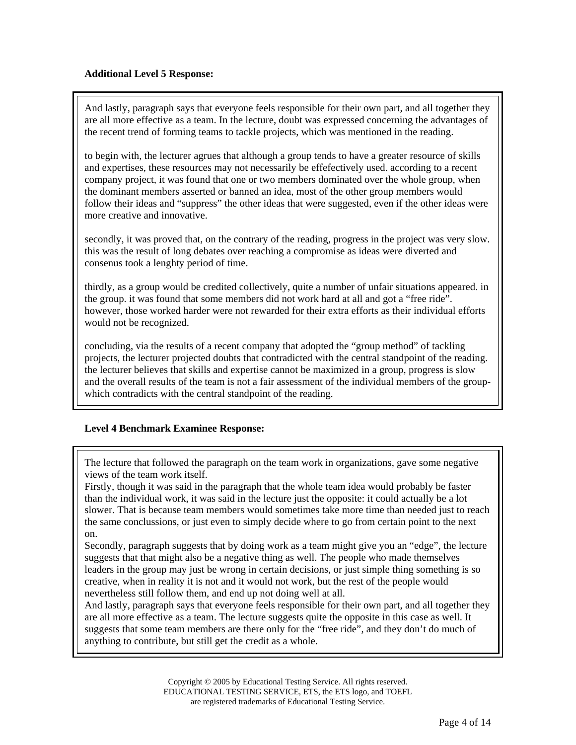# **Additional Level 5 Response:**

And lastly, paragraph says that everyone feels responsible for their own part, and all together they are all more effective as a team. In the lecture, doubt was expressed concerning the advantages of the recent trend of forming teams to tackle projects, which was mentioned in the reading.

to begin with, the lecturer agrues that although a group tends to have a greater resource of skills and expertises, these resources may not necessarily be effefectively used. according to a recent company project, it was found that one or two members dominated over the whole group, when the dominant members asserted or banned an idea, most of the other group members would follow their ideas and "suppress" the other ideas that were suggested, even if the other ideas were more creative and innovative.

secondly, it was proved that, on the contrary of the reading, progress in the project was very slow. this was the result of long debates over reaching a compromise as ideas were diverted and consenus took a lenghty period of time.

thirdly, as a group would be credited collectively, quite a number of unfair situations appeared. in the group. it was found that some members did not work hard at all and got a "free ride". however, those worked harder were not rewarded for their extra efforts as their individual efforts would not be recognized.

concluding, via the results of a recent company that adopted the "group method" of tackling projects, the lecturer projected doubts that contradicted with the central standpoint of the reading. the lecturer believes that skills and expertise cannot be maximized in a group, progress is slow and the overall results of the team is not a fair assessment of the individual members of the groupwhich contradicts with the central standpoint of the reading.

# **Level 4 Benchmark Examinee Response:**

The lecture that followed the paragraph on the team work in organizations, gave some negative views of the team work itself.

Firstly, though it was said in the paragraph that the whole team idea would probably be faster than the individual work, it was said in the lecture just the opposite: it could actually be a lot slower. That is because team members would sometimes take more time than needed just to reach the same conclussions, or just even to simply decide where to go from certain point to the next on.

Secondly, paragraph suggests that by doing work as a team might give you an "edge", the lecture suggests that that might also be a negative thing as well. The people who made themselves leaders in the group may just be wrong in certain decisions, or just simple thing something is so creative, when in reality it is not and it would not work, but the rest of the people would nevertheless still follow them, and end up not doing well at all.

And lastly, paragraph says that everyone feels responsible for their own part, and all together they are all more effective as a team. The lecture suggests quite the opposite in this case as well. It suggests that some team members are there only for the "free ride", and they don't do much of anything to contribute, but still get the credit as a whole.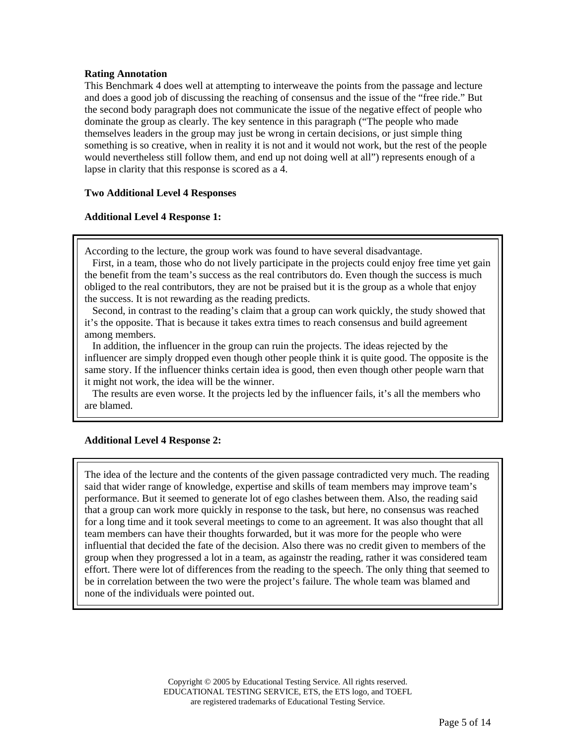## **Rating Annotation**

This Benchmark 4 does well at attempting to interweave the points from the passage and lecture and does a good job of discussing the reaching of consensus and the issue of the "free ride." But the second body paragraph does not communicate the issue of the negative effect of people who dominate the group as clearly. The key sentence in this paragraph ("The people who made themselves leaders in the group may just be wrong in certain decisions, or just simple thing something is so creative, when in reality it is not and it would not work, but the rest of the people would nevertheless still follow them, and end up not doing well at all") represents enough of a lapse in clarity that this response is scored as a 4.

## **Two Additional Level 4 Responses**

## **Additional Level 4 Response 1:**

According to the lecture, the group work was found to have several disadvantage.

 First, in a team, those who do not lively participate in the projects could enjoy free time yet gain the benefit from the team's success as the real contributors do. Even though the success is much obliged to the real contributors, they are not be praised but it is the group as a whole that enjoy the success. It is not rewarding as the reading predicts.

 Second, in contrast to the reading's claim that a group can work quickly, the study showed that it's the opposite. That is because it takes extra times to reach consensus and build agreement among members.

 In addition, the influencer in the group can ruin the projects. The ideas rejected by the influencer are simply dropped even though other people think it is quite good. The opposite is the same story. If the influencer thinks certain idea is good, then even though other people warn that it might not work, the idea will be the winner.

 The results are even worse. It the projects led by the influencer fails, it's all the members who are blamed.

# **Additional Level 4 Response 2:**

The idea of the lecture and the contents of the given passage contradicted very much. The reading said that wider range of knowledge, expertise and skills of team members may improve team's performance. But it seemed to generate lot of ego clashes between them. Also, the reading said that a group can work more quickly in response to the task, but here, no consensus was reached for a long time and it took several meetings to come to an agreement. It was also thought that all team members can have their thoughts forwarded, but it was more for the people who were influential that decided the fate of the decision. Also there was no credit given to members of the group when they progressed a lot in a team, as againstr the reading, rather it was considered team effort. There were lot of differences from the reading to the speech. The only thing that seemed to be in correlation between the two were the project's failure. The whole team was blamed and none of the individuals were pointed out.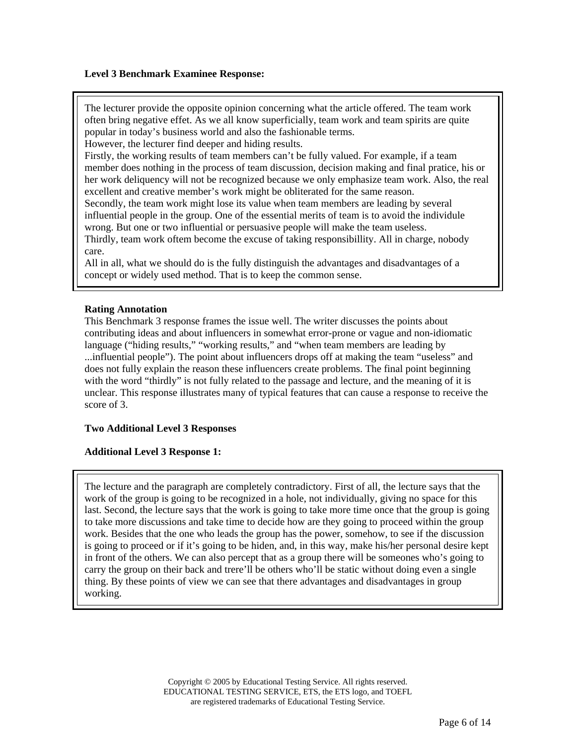## **Level 3 Benchmark Examinee Response:**

The lecturer provide the opposite opinion concerning what the article offered. The team work often bring negative effet. As we all know superficially, team work and team spirits are quite popular in today's business world and also the fashionable terms.

However, the lecturer find deeper and hiding results.

Firstly, the working results of team members can't be fully valued. For example, if a team member does nothing in the process of team discussion, decision making and final pratice, his or her work deliquency will not be recognized because we only emphasize team work. Also, the real excellent and creative member's work might be obliterated for the same reason.

Secondly, the team work might lose its value when team members are leading by several influential people in the group. One of the essential merits of team is to avoid the individule wrong. But one or two influential or persuasive people will make the team useless.

Thirdly, team work oftem become the excuse of taking responsibillity. All in charge, nobody care.

All in all, what we should do is the fully distinguish the advantages and disadvantages of a concept or widely used method. That is to keep the common sense.

## **Rating Annotation**

This Benchmark 3 response frames the issue well. The writer discusses the points about contributing ideas and about influencers in somewhat error-prone or vague and non-idiomatic language ("hiding results," "working results," and "when team members are leading by ...influential people"). The point about influencers drops off at making the team "useless" and does not fully explain the reason these influencers create problems. The final point beginning with the word "thirdly" is not fully related to the passage and lecture, and the meaning of it is unclear. This response illustrates many of typical features that can cause a response to receive the score of 3.

# **Two Additional Level 3 Responses**

# **Additional Level 3 Response 1:**

The lecture and the paragraph are completely contradictory. First of all, the lecture says that the work of the group is going to be recognized in a hole, not individually, giving no space for this last. Second, the lecture says that the work is going to take more time once that the group is going to take more discussions and take time to decide how are they going to proceed within the group work. Besides that the one who leads the group has the power, somehow, to see if the discussion is going to proceed or if it's going to be hiden, and, in this way, make his/her personal desire kept in front of the others. We can also percept that as a group there will be someones who's going to carry the group on their back and trere'll be others who'll be static without doing even a single thing. By these points of view we can see that there advantages and disadvantages in group working.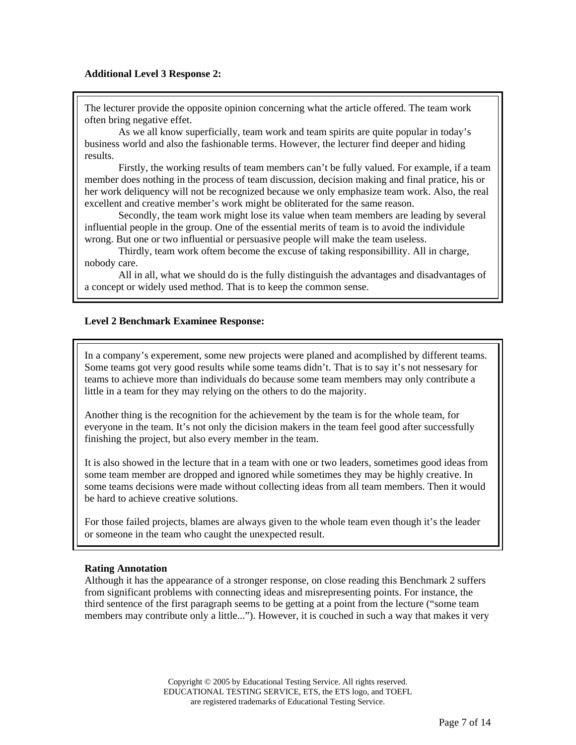# **Additional Level 3 Response 2:**

The lecturer provide the opposite opinion concerning what the article offered. The team work often bring negative effet.

As we all know superficially, team work and team spirits are quite popular in today's business world and also the fashionable terms. However, the lecturer find deeper and hiding results.

Firstly, the working results of team members can't be fully valued. For example, if a team member does nothing in the process of team discussion, decision making and final pratice, his or her work deliquency will not be recognized because we only emphasize team work. Also, the real excellent and creative member's work might be obliterated for the same reason.

Secondly, the team work might lose its value when team members are leading by several influential people in the group. One of the essential merits of team is to avoid the individule wrong. But one or two influential or persuasive people will make the team useless.

Thirdly, team work oftem become the excuse of taking responsibillity. All in charge, nobody care.

All in all, what we should do is the fully distinguish the advantages and disadvantages of a concept or widely used method. That is to keep the common sense.

## **Level 2 Benchmark Examinee Response:**

In a company's experement, some new projects were planed and acomplished by different teams. Some teams got very good results while some teams didn't. That is to say it's not nessesary for teams to achieve more than individuals do because some team members may only contribute a little in a team for they may relying on the others to do the majority.

Another thing is the recognition for the achievement by the team is for the whole team, for everyone in the team. It's not only the dicision makers in the team feel good after successfully finishing the project, but also every member in the team.

It is also showed in the lecture that in a team with one or two leaders, sometimes good ideas from some team member are dropped and ignored while sometimes they may be highly creative. In some teams decisions were made without collecting ideas from all team members. Then it would be hard to achieve creative solutions.

For those failed projects, blames are always given to the whole team even though it's the leader or someone in the team who caught the unexpected result.

#### **Rating Annotation**

Although it has the appearance of a stronger response, on close reading this Benchmark 2 suffers from significant problems with connecting ideas and misrepresenting points. For instance, the third sentence of the first paragraph seems to be getting at a point from the lecture ("some team members may contribute only a little..."). However, it is couched in such a way that makes it very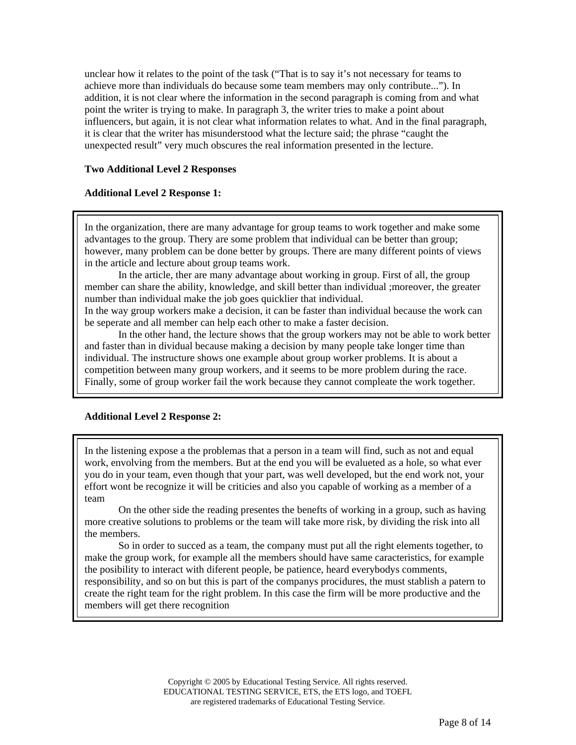unclear how it relates to the point of the task ("That is to say it's not necessary for teams to achieve more than individuals do because some team members may only contribute..."). In addition, it is not clear where the information in the second paragraph is coming from and what point the writer is trying to make. In paragraph 3, the writer tries to make a point about influencers, but again, it is not clear what information relates to what. And in the final paragraph, it is clear that the writer has misunderstood what the lecture said; the phrase "caught the unexpected result" very much obscures the real information presented in the lecture.

## **Two Additional Level 2 Responses**

## **Additional Level 2 Response 1:**

In the organization, there are many advantage for group teams to work together and make some advantages to the group. Thery are some problem that individual can be better than group; however, many problem can be done better by groups. There are many different points of views in the article and lecture about group teams work.

 In the article, ther are many advantage about working in group. First of all, the group member can share the ability, knowledge, and skill better than individual ;moreover, the greater number than individual make the job goes quicklier that individual. In the way group workers make a decision, it can be faster than individual because the work can be seperate and all member can help each other to make a faster decision.

 In the other hand, the lecture shows that the group workers may not be able to work better and faster than in dividual because making a decision by many people take longer time than individual. The instructure shows one example about group worker problems. It is about a competition between many group workers, and it seems to be more problem during the race. Finally, some of group worker fail the work because they cannot compleate the work together.

# **Additional Level 2 Response 2:**

In the listening expose a the problemas that a person in a team will find, such as not and equal work, envolving from the members. But at the end you will be evalueted as a hole, so what ever you do in your team, even though that your part, was well developed, but the end work not, your effort wont be recognize it will be criticies and also you capable of working as a member of a team

On the other side the reading presentes the benefts of working in a group, such as having more creative solutions to problems or the team will take more risk, by dividing the risk into all the members.

So in order to succed as a team, the company must put all the right elements together, to make the group work, for example all the members should have same caracteristics, for example the posibility to interact with diferent people, be patience, heard everybodys comments, responsibility, and so on but this is part of the companys procidures, the must stablish a patern to create the right team for the right problem. In this case the firm will be more productive and the members will get there recognition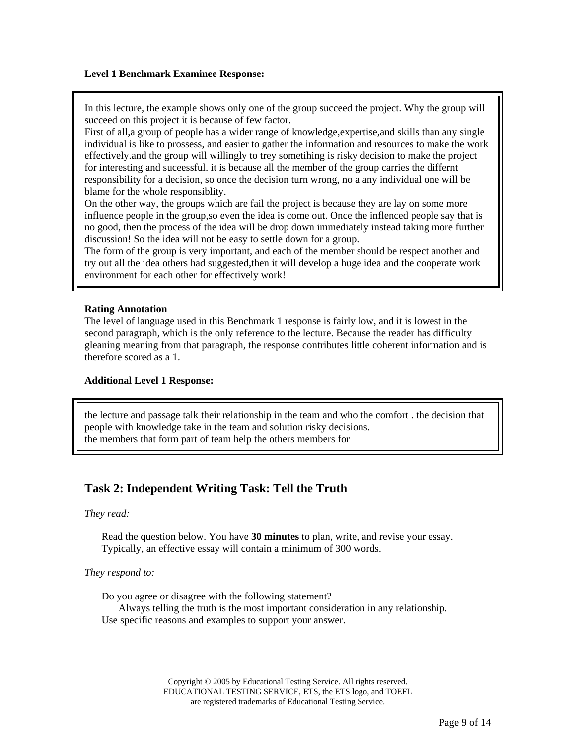### **Level 1 Benchmark Examinee Response:**

In this lecture, the example shows only one of the group succeed the project. Why the group will succeed on this project it is because of few factor.

First of all, a group of people has a wider range of knowledge, expertise, and skills than any single individual is like to prossess, and easier to gather the information and resources to make the work effectively.and the group will willingly to trey sometihing is risky decision to make the project for interesting and suceessful. it is because all the member of the group carries the differnt responsibility for a decision, so once the decision turn wrong, no a any individual one will be blame for the whole responsiblity.

On the other way, the groups which are fail the project is because they are lay on some more influence people in the group,so even the idea is come out. Once the inflenced people say that is no good, then the process of the idea will be drop down immediately instead taking more further discussion! So the idea will not be easy to settle down for a group.

The form of the group is very important, and each of the member should be respect another and try out all the idea others had suggested,then it will develop a huge idea and the cooperate work environment for each other for effectively work!

## **Rating Annotation**

The level of language used in this Benchmark 1 response is fairly low, and it is lowest in the second paragraph, which is the only reference to the lecture. Because the reader has difficulty gleaning meaning from that paragraph, the response contributes little coherent information and is therefore scored as a 1.

# **Additional Level 1 Response:**

the lecture and passage talk their relationship in the team and who the comfort . the decision that people with knowledge take in the team and solution risky decisions. the members that form part of team help the others members for

# **Task 2: Independent Writing Task: Tell the Truth**

#### *They read:*

Read the question below. You have **30 minutes** to plan, write, and revise your essay. Typically, an effective essay will contain a minimum of 300 words.

#### *They respond to:*

Do you agree or disagree with the following statement?

Always telling the truth is the most important consideration in any relationship. Use specific reasons and examples to support your answer.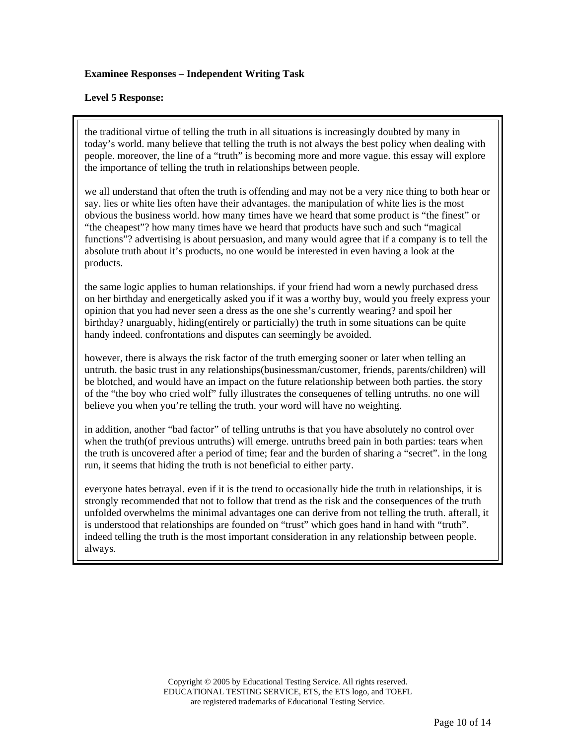# **Examinee Responses – Independent Writing Task**

### **Level 5 Response:**

the traditional virtue of telling the truth in all situations is increasingly doubted by many in today's world. many believe that telling the truth is not always the best policy when dealing with people. moreover, the line of a "truth" is becoming more and more vague. this essay will explore the importance of telling the truth in relationships between people.

we all understand that often the truth is offending and may not be a very nice thing to both hear or say. lies or white lies often have their advantages. the manipulation of white lies is the most obvious the business world. how many times have we heard that some product is "the finest" or "the cheapest"? how many times have we heard that products have such and such "magical functions"? advertising is about persuasion, and many would agree that if a company is to tell the absolute truth about it's products, no one would be interested in even having a look at the products.

the same logic applies to human relationships. if your friend had worn a newly purchased dress on her birthday and energetically asked you if it was a worthy buy, would you freely express your opinion that you had never seen a dress as the one she's currently wearing? and spoil her birthday? unarguably, hiding(entirely or particially) the truth in some situations can be quite handy indeed. confrontations and disputes can seemingly be avoided.

however, there is always the risk factor of the truth emerging sooner or later when telling an untruth. the basic trust in any relationships(businessman/customer, friends, parents/children) will be blotched, and would have an impact on the future relationship between both parties. the story of the "the boy who cried wolf" fully illustrates the consequenes of telling untruths. no one will believe you when you're telling the truth. your word will have no weighting.

in addition, another "bad factor" of telling untruths is that you have absolutely no control over when the truth(of previous untruths) will emerge, untruths breed pain in both parties: tears when the truth is uncovered after a period of time; fear and the burden of sharing a "secret". in the long run, it seems that hiding the truth is not beneficial to either party.

everyone hates betrayal. even if it is the trend to occasionally hide the truth in relationships, it is strongly recommended that not to follow that trend as the risk and the consequences of the truth unfolded overwhelms the minimal advantages one can derive from not telling the truth. afterall, it is understood that relationships are founded on "trust" which goes hand in hand with "truth". indeed telling the truth is the most important consideration in any relationship between people. always.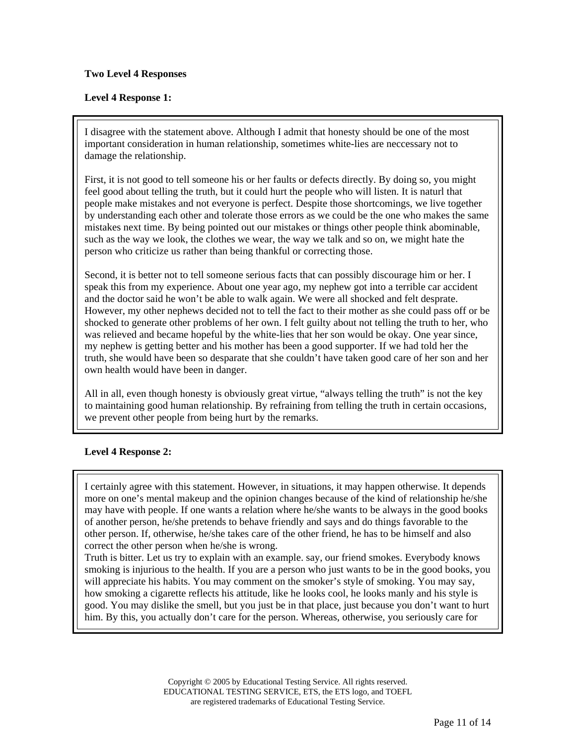# **Two Level 4 Responses**

# **Level 4 Response 1:**

I disagree with the statement above. Although I admit that honesty should be one of the most important consideration in human relationship, sometimes white-lies are neccessary not to damage the relationship.

First, it is not good to tell someone his or her faults or defects directly. By doing so, you might feel good about telling the truth, but it could hurt the people who will listen. It is naturl that people make mistakes and not everyone is perfect. Despite those shortcomings, we live together by understanding each other and tolerate those errors as we could be the one who makes the same mistakes next time. By being pointed out our mistakes or things other people think abominable, such as the way we look, the clothes we wear, the way we talk and so on, we might hate the person who criticize us rather than being thankful or correcting those.

Second, it is better not to tell someone serious facts that can possibly discourage him or her. I speak this from my experience. About one year ago, my nephew got into a terrible car accident and the doctor said he won't be able to walk again. We were all shocked and felt desprate. However, my other nephews decided not to tell the fact to their mother as she could pass off or be shocked to generate other problems of her own. I felt guilty about not telling the truth to her, who was relieved and became hopeful by the white-lies that her son would be okay. One year since, my nephew is getting better and his mother has been a good supporter. If we had told her the truth, she would have been so desparate that she couldn't have taken good care of her son and her own health would have been in danger.

All in all, even though honesty is obviously great virtue, "always telling the truth" is not the key to maintaining good human relationship. By refraining from telling the truth in certain occasions, we prevent other people from being hurt by the remarks.

# **Level 4 Response 2:**

I certainly agree with this statement. However, in situations, it may happen otherwise. It depends more on one's mental makeup and the opinion changes because of the kind of relationship he/she may have with people. If one wants a relation where he/she wants to be always in the good books of another person, he/she pretends to behave friendly and says and do things favorable to the other person. If, otherwise, he/she takes care of the other friend, he has to be himself and also correct the other person when he/she is wrong.

Truth is bitter. Let us try to explain with an example. say, our friend smokes. Everybody knows smoking is injurious to the health. If you are a person who just wants to be in the good books, you will appreciate his habits. You may comment on the smoker's style of smoking. You may say, how smoking a cigarette reflects his attitude, like he looks cool, he looks manly and his style is good. You may dislike the smell, but you just be in that place, just because you don't want to hurt him. By this, you actually don't care for the person. Whereas, otherwise, you seriously care for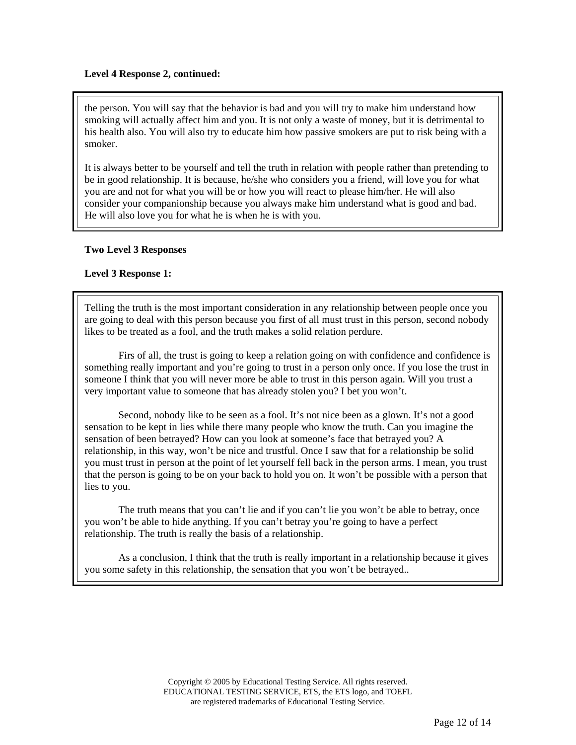# **Level 4 Response 2, continued:**

the person. You will say that the behavior is bad and you will try to make him understand how smoking will actually affect him and you. It is not only a waste of money, but it is detrimental to his health also. You will also try to educate him how passive smokers are put to risk being with a smoker.

It is always better to be yourself and tell the truth in relation with people rather than pretending to be in good relationship. It is because, he/she who considers you a friend, will love you for what you are and not for what you will be or how you will react to please him/her. He will also consider your companionship because you always make him understand what is good and bad. He will also love you for what he is when he is with you.

## **Two Level 3 Responses**

# **Level 3 Response 1:**

Telling the truth is the most important consideration in any relationship between people once you are going to deal with this person because you first of all must trust in this person, second nobody likes to be treated as a fool, and the truth makes a solid relation perdure.

Firs of all, the trust is going to keep a relation going on with confidence and confidence is something really important and you're going to trust in a person only once. If you lose the trust in someone I think that you will never more be able to trust in this person again. Will you trust a very important value to someone that has already stolen you? I bet you won't.

Second, nobody like to be seen as a fool. It's not nice been as a glown. It's not a good sensation to be kept in lies while there many people who know the truth. Can you imagine the sensation of been betrayed? How can you look at someone's face that betrayed you? A relationship, in this way, won't be nice and trustful. Once I saw that for a relationship be solid you must trust in person at the point of let yourself fell back in the person arms. I mean, you trust that the person is going to be on your back to hold you on. It won't be possible with a person that lies to you.

The truth means that you can't lie and if you can't lie you won't be able to betray, once you won't be able to hide anything. If you can't betray you're going to have a perfect relationship. The truth is really the basis of a relationship.

As a conclusion, I think that the truth is really important in a relationship because it gives you some safety in this relationship, the sensation that you won't be betrayed..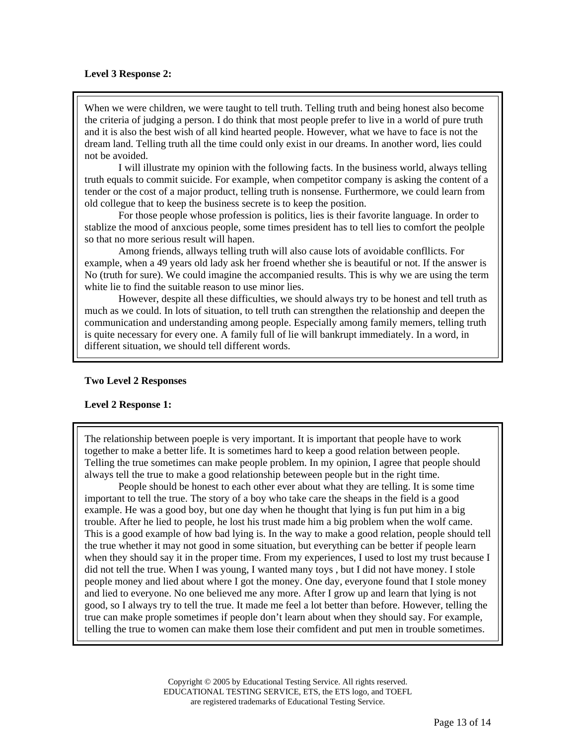## **Level 3 Response 2:**

When we were children, we were taught to tell truth. Telling truth and being honest also become the criteria of judging a person. I do think that most people prefer to live in a world of pure truth and it is also the best wish of all kind hearted people. However, what we have to face is not the dream land. Telling truth all the time could only exist in our dreams. In another word, lies could not be avoided.

I will illustrate my opinion with the following facts. In the business world, always telling truth equals to commit suicide. For example, when competitor company is asking the content of a tender or the cost of a major product, telling truth is nonsense. Furthermore, we could learn from old collegue that to keep the business secrete is to keep the position.

For those people whose profession is politics, lies is their favorite language. In order to stablize the mood of anxcious people, some times president has to tell lies to comfort the peolple so that no more serious result will hapen.

Among friends, allways telling truth will also cause lots of avoidable confllicts. For example, when a 49 years old lady ask her froend whether she is beautiful or not. If the answer is No (truth for sure). We could imagine the accompanied results. This is why we are using the term white lie to find the suitable reason to use minor lies.

However, despite all these difficulties, we should always try to be honest and tell truth as much as we could. In lots of situation, to tell truth can strengthen the relationship and deepen the communication and understanding among people. Especially among family memers, telling truth is quite necessary for every one. A family full of lie will bankrupt immediately. In a word, in different situation, we should tell different words.

# **Two Level 2 Responses**

# **Level 2 Response 1:**

The relationship between poeple is very important. It is important that people have to work together to make a better life. It is sometimes hard to keep a good relation between people. Telling the true sometimes can make people problem. In my opinion, I agree that people should always tell the true to make a good relationship beteween people but in the right time.

People should be honest to each other ever about what they are telling. It is some time important to tell the true. The story of a boy who take care the sheaps in the field is a good example. He was a good boy, but one day when he thought that lying is fun put him in a big trouble. After he lied to people, he lost his trust made him a big problem when the wolf came. This is a good example of how bad lying is. In the way to make a good relation, people should tell the true whether it may not good in some situation, but everything can be better if people learn when they should say it in the proper time. From my experiences, I used to lost my trust because I did not tell the true. When I was young, I wanted many toys , but I did not have money. I stole people money and lied about where I got the money. One day, everyone found that I stole money and lied to everyone. No one believed me any more. After I grow up and learn that lying is not good, so I always try to tell the true. It made me feel a lot better than before. However, telling the true can make prople sometimes if people don't learn about when they should say. For example, telling the true to women can make them lose their comfident and put men in trouble sometimes.